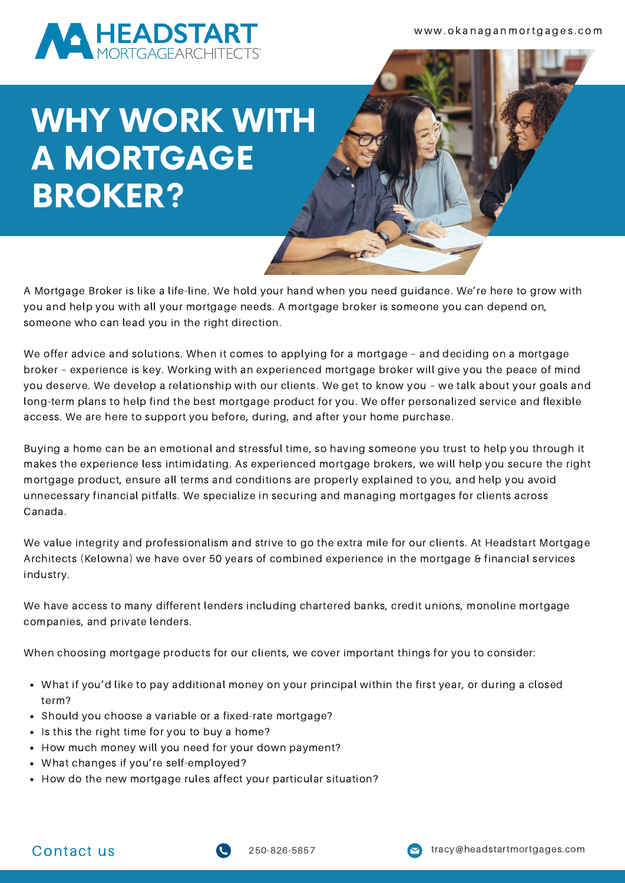

w w w . o k a n a g a n m o rt g a g e s . c o m

# WHY WORK WITH A MORTGAGE BROKER?

A Mortgage Broker is like a life-line. We hold your hand when you need guidance. We're here to grow with you and help you with all your mortgage needs. A mortgage broker is someone you can depend on, someone who can lead you in the right direction.

We offer advice and solutions. When it comes to applying for a mortgage – and deciding on a mortgage broker – experience is key. Working with an experienced mortgage broker will give you the peace of mind you deserve. We develop a relationship with our clients. We get to know you – we talk about your goals and long-term plans to help find the best mortgage product for you. We offer personalized service and flexible access. We are here to support you before, during, and after your home purchase.

Buying a home can be an emotional and stressful time, so having someone you trust to help you through it makes the experience less intimidating. As experienced mortgage brokers, we will help you secure the right mortgage product, ensure all terms and conditions are properly explained to you, and help you avoid unnecessary financial pitfalls. We specialize in securing and managing mortgages for clients across Canada.

We value integrity and professionalism and strive to go the extra mile for our clients. At Headstart Mortgage Architects (Kelowna) we have over 50 years of combined experience in the mortgage & financial services industry.

We have access to many different lenders including chartered banks, credit unions, monoline mortgage companies, and private lenders.

When choosing mortgage products for our clients, we cover important things for you to consider:

- What if you'd like to pay additional money on your principal within the first year, or during a closed term?
- Should you choose a variable or a fixed-rate mortgage?
- Is this the right time for you to buy a home?
- How much money will you need for your down payment?
- What changes if you're self-employed?
- How do the new mortgage rules affect your particular situation?



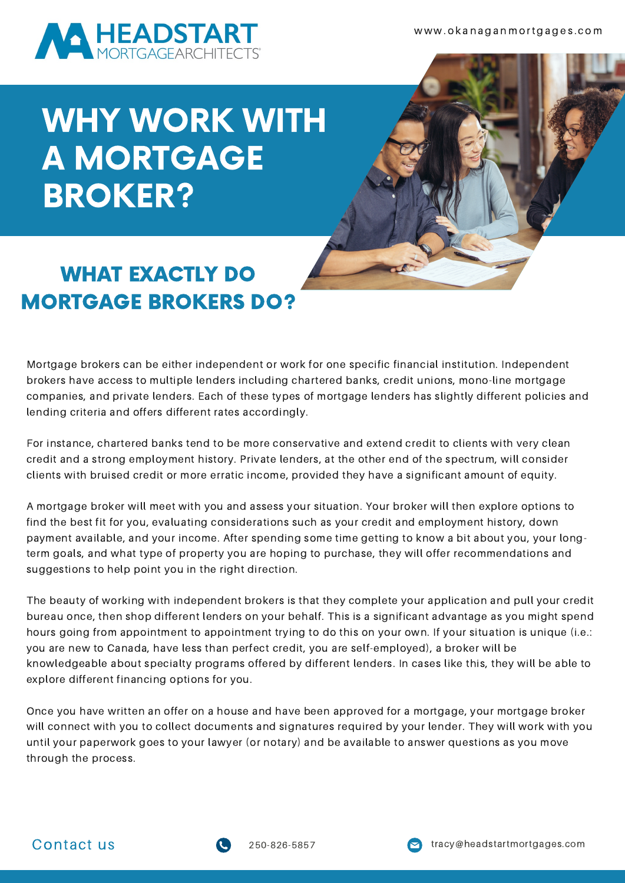

## WHY WORK WITH A MORTGAGE BROKER?

### WHAT EXACTLY DO MORTGAGE BROKERS DO?

Mortgage brokers can be either independent or work for one specific financial institution. Independent brokers have access to multiple lenders including chartered banks, credit unions, mono-line mortgage companies, and private lenders. Each of these types of mortgage lenders has slightly different policies and lending criteria and offers different rates accordingly.

For instance, chartered banks tend to be more conservative and extend credit to clients with very clean credit and a strong employment history. Private lenders, at the other end of the spectrum, will consider clients with bruised credit or more erratic income, provided they have a significant amount of equity.

A mortgage broker will meet with you and assess your situation. Your broker will then explore options to find the best fit for you, evaluating considerations such as your credit and employment history, down payment available, and your income. After spending some time getting to know a bit about you, your longterm goals, and what type of property you are hoping to purchase, they will offer recommendations and suggestions to help point you in the right direction.

The beauty of working with independent brokers is that they complete your application and pull your credit bureau once, then shop different lenders on your behalf. This is a significant advantage as you might spend hours going from appointment to appointment trying to do this on your own. If your situation is unique (i.e.: you are new to Canada, have less than perfect credit, you are self-employed), a broker will be knowledgeable about specialty programs offered by different lenders. In cases like this, they will be able to explore different financing options for you.

Once you have written an offer on a house and have been approved for a mortgage, your mortgage broker will connect with you to collect documents and signatures required by your lender. They will work with you until your paperwork goes to your lawyer (or notary) and be available to answer questions as you move through the process.